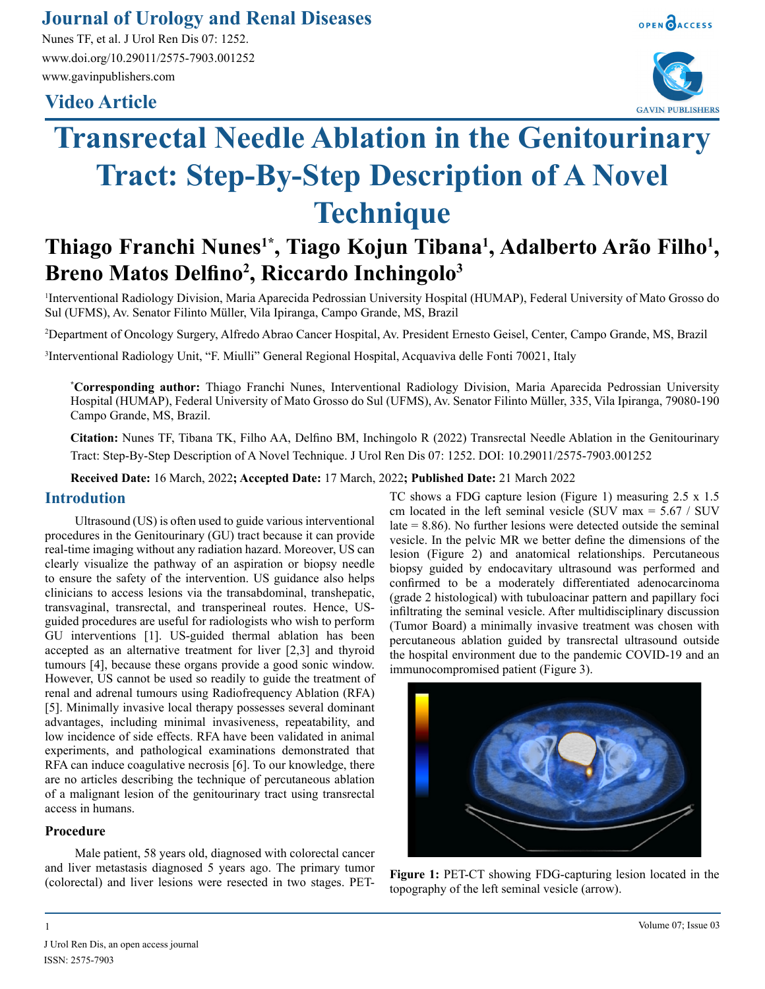### **Journal of Urology and Renal Diseases**

Nunes TF, et al. J Urol Ren Dis 07: 1252. www.doi.org/10.29011/2575-7903.001252 www.gavinpublishers.com

## **Video Article**





# **Transrectal Needle Ablation in the Genitourinary Tract: Step-By-Step Description of A Novel Technique**

# Thiago Franchi Nunes<sup>1\*</sup>, Tiago Kojun Tibana<sup>1</sup>, Adalberto Arão Filho<sup>1</sup>, **Breno Matos Delfino<sup>2</sup> , Riccardo Inchingolo3**

1 Interventional Radiology Division, Maria Aparecida Pedrossian University Hospital (HUMAP), Federal University of Mato Grosso do Sul (UFMS), Av. Senator Filinto Müller, Vila Ipiranga, Campo Grande, MS, Brazil

2 Department of Oncology Surgery, Alfredo Abrao Cancer Hospital, Av. President Ernesto Geisel, Center, Campo Grande, MS, Brazil

3 Interventional Radiology Unit, "F. Miulli" General Regional Hospital, Acquaviva delle Fonti 70021, Italy

**\* Corresponding author:** Thiago Franchi Nunes, Interventional Radiology Division, Maria Aparecida Pedrossian University Hospital (HUMAP), Federal University of Mato Grosso do Sul (UFMS), Av. Senator Filinto Müller, 335, Vila Ipiranga, 79080-190 Campo Grande, MS, Brazil.

**Citation:** Nunes TF, Tibana TK, Filho AA, Delfino BM, Inchingolo R (2022) Transrectal Needle Ablation in the Genitourinary Tract: Step-By-Step Description of A Novel Technique. J Urol Ren Dis 07: 1252. DOI: 10.29011/2575-7903.001252

**Received Date:** 16 March, 2022**; Accepted Date:** 17 March, 2022**; Published Date:** 21 March 2022

#### **Introdution**

Ultrasound (US) is often used to guide various interventional procedures in the Genitourinary (GU) tract because it can provide real-time imaging without any radiation hazard. Moreover, US can clearly visualize the pathway of an aspiration or biopsy needle to ensure the safety of the intervention. US guidance also helps clinicians to access lesions via the transabdominal, transhepatic, transvaginal, transrectal, and transperineal routes. Hence, USguided procedures are useful for radiologists who wish to perform GU interventions [1]. US-guided thermal ablation has been accepted as an alternative treatment for liver [2,3] and thyroid tumours [4], because these organs provide a good sonic window. However, US cannot be used so readily to guide the treatment of renal and adrenal tumours using Radiofrequency Ablation (RFA) [5]. Minimally invasive local therapy possesses several dominant advantages, including minimal invasiveness, repeatability, and low incidence of side effects. RFA have been validated in animal experiments, and pathological examinations demonstrated that RFA can induce coagulative necrosis [6]. To our knowledge, there are no articles describing the technique of percutaneous ablation of a malignant lesion of the genitourinary tract using transrectal access in humans.

#### **Procedure**

Male patient, 58 years old, diagnosed with colorectal cancer and liver metastasis diagnosed 5 years ago. The primary tumor (colorectal) and liver lesions were resected in two stages. PET-

TC shows a FDG capture lesion (Figure 1) measuring 2.5 x 1.5 cm located in the left seminal vesicle (SUV max  $= 5.67 / SUV$ late = 8.86). No further lesions were detected outside the seminal vesicle. In the pelvic MR we better define the dimensions of the lesion (Figure 2) and anatomical relationships. Percutaneous biopsy guided by endocavitary ultrasound was performed and confirmed to be a moderately differentiated adenocarcinoma (grade 2 histological) with tubuloacinar pattern and papillary foci infiltrating the seminal vesicle. After multidisciplinary discussion (Tumor Board) a minimally invasive treatment was chosen with percutaneous ablation guided by transrectal ultrasound outside the hospital environment due to the pandemic COVID-19 and an immunocompromised patient (Figure 3).



**Figure 1:** PET-CT showing FDG-capturing lesion located in the topography of the left seminal vesicle (arrow).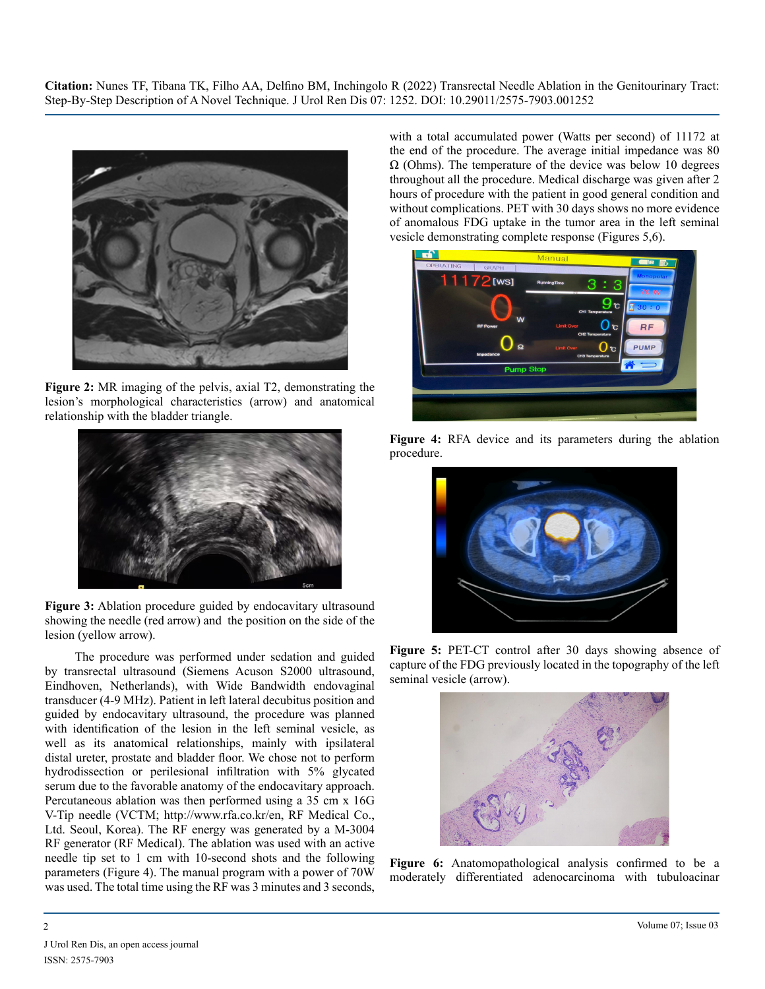**Citation:** Nunes TF, Tibana TK, Filho AA, Delfino BM, Inchingolo R (2022) Transrectal Needle Ablation in the Genitourinary Tract: Step-By-Step Description of A Novel Technique. J Urol Ren Dis 07: 1252. DOI: 10.29011/2575-7903.001252



**Figure 2:** MR imaging of the pelvis, axial T2, demonstrating the lesion's morphological characteristics (arrow) and anatomical relationship with the bladder triangle.



**Figure 3:** Ablation procedure guided by endocavitary ultrasound showing the needle (red arrow) and the position on the side of the lesion (yellow arrow).

The procedure was performed under sedation and guided by transrectal ultrasound (Siemens Acuson S2000 ultrasound, Eindhoven, Netherlands), with Wide Bandwidth endovaginal transducer (4-9 MHz). Patient in left lateral decubitus position and guided by endocavitary ultrasound, the procedure was planned with identification of the lesion in the left seminal vesicle, as well as its anatomical relationships, mainly with ipsilateral distal ureter, prostate and bladder floor. We chose not to perform hydrodissection or perilesional infiltration with 5% glycated serum due to the favorable anatomy of the endocavitary approach. Percutaneous ablation was then performed using a 35 cm x 16G V-Tip needle (VCTM; http://www.rfa.co.kr/en, RF Medical Co., Ltd. Seoul, Korea). The RF energy was generated by a M-3004 RF generator (RF Medical). The ablation was used with an active needle tip set to 1 cm with 10-second shots and the following parameters (Figure 4). The manual program with a power of 70W was used. The total time using the RF was 3 minutes and 3 seconds,

with a total accumulated power (Watts per second) of 11172 at the end of the procedure. The average initial impedance was 80  $\Omega$  (Ohms). The temperature of the device was below 10 degrees throughout all the procedure. Medical discharge was given after 2 hours of procedure with the patient in good general condition and without complications. PET with 30 days shows no more evidence of anomalous FDG uptake in the tumor area in the left seminal vesicle demonstrating complete response (Figures 5,6).



**Figure 4:** RFA device and its parameters during the ablation procedure.



**Figure 5:** PET-CT control after 30 days showing absence of capture of the FDG previously located in the topography of the left seminal vesicle (arrow).



**Figure 6:** Anatomopathological analysis confirmed to be a moderately differentiated adenocarcinoma with tubuloacinar